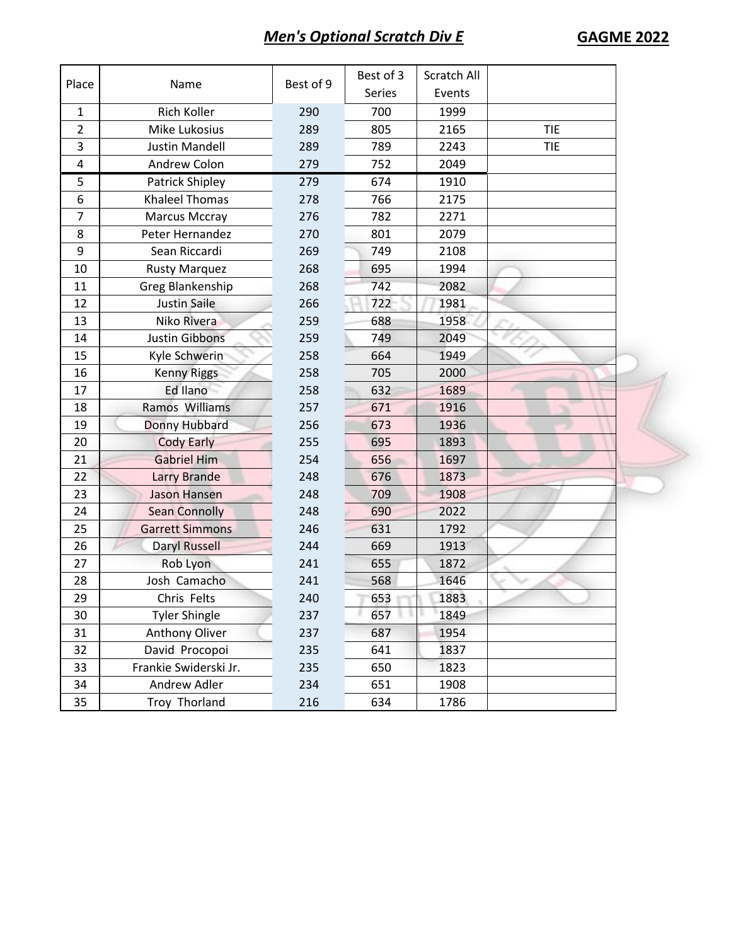## *Men's Optional Scratch Div E* **GAGME 2022**

| Place                   | Name                   | Best of 9 | Best of 3 | Scratch All |            |  |
|-------------------------|------------------------|-----------|-----------|-------------|------------|--|
|                         |                        |           | Series    | Events      |            |  |
| $\mathbf{1}$            | Rich Koller            | 290       | 700       | 1999        |            |  |
| $\overline{2}$          | Mike Lukosius          | 289       | 805       | 2165        | <b>TIE</b> |  |
| $\overline{\mathbf{3}}$ | <b>Justin Mandell</b>  | 289       | 789       | 2243        | <b>TIE</b> |  |
| $\overline{\mathbf{4}}$ | Andrew Colon           | 279       | 752       | 2049        |            |  |
| 5                       | Patrick Shipley        | 279       | 674       | 1910        |            |  |
| 6                       | <b>Khaleel Thomas</b>  | 278       | 766       | 2175        |            |  |
| $\overline{7}$          | <b>Marcus Mccray</b>   | 276       | 782       | 2271        |            |  |
| 8                       | Peter Hernandez        | 270       | 801       | 2079        |            |  |
| 9                       | Sean Riccardi          | 269       | 749       | 2108        |            |  |
| 10                      | <b>Rusty Marquez</b>   | 268       | 695       | 1994        |            |  |
| 11                      | Greg Blankenship       | 268       | 742       | 2082        |            |  |
| 12                      | <b>Justin Saile</b>    | 266       | 722       | 1981        |            |  |
| 13                      | Niko Rivera            | 259       | 688       | 1958        |            |  |
| 14                      | <b>Justin Gibbons</b>  | 259       | 749       | 2049        |            |  |
| 15                      | Kyle Schwerin          | 258       | 664       | 1949        |            |  |
| 16                      | <b>Kenny Riggs</b>     | 258       | 705       | 2000        |            |  |
| 17                      | Ed Ilano               | 258       | 632       | 1689        |            |  |
| 18                      | Ramos Williams         | 257       | 671       | 1916        |            |  |
| 19                      | Donny Hubbard          | 256       | 673       | 1936        |            |  |
| 20                      | <b>Cody Early</b>      | 255       | 695       | 1893        |            |  |
| 21                      | <b>Gabriel Him</b>     | 254       | 656       | 1697        |            |  |
| 22                      | <b>Larry Brande</b>    | 248       | 676       | 1873        |            |  |
| 23                      | <b>Jason Hansen</b>    | 248       | 709       | 1908        |            |  |
| 24                      | <b>Sean Connolly</b>   | 248       | 690       | 2022        |            |  |
| 25                      | <b>Garrett Simmons</b> | 246       | 631       | 1792        |            |  |
| 26                      | <b>Daryl Russell</b>   | 244       | 669       | 1913        |            |  |
| 27                      | Rob Lyon               | 241       | 655       | 1872        |            |  |
| 28                      | Josh Camacho           | 241       | 568       | 1646        |            |  |
| 29                      | Chris Felts            | 240       | 653       | 1883        |            |  |
| 30                      | <b>Tyler Shingle</b>   | 237       | 657       | 1849        |            |  |
| 31                      | <b>Anthony Oliver</b>  | 237       | 687       | 1954        |            |  |
| 32                      | David Procopoi         | 235       | 641       | 1837        |            |  |
| 33                      | Frankie Swiderski Jr.  | 235       | 650       | 1823        |            |  |
| 34                      | Andrew Adler           | 234       | 651       | 1908        |            |  |
| 35                      | Troy Thorland          | 216       | 634       | 1786        |            |  |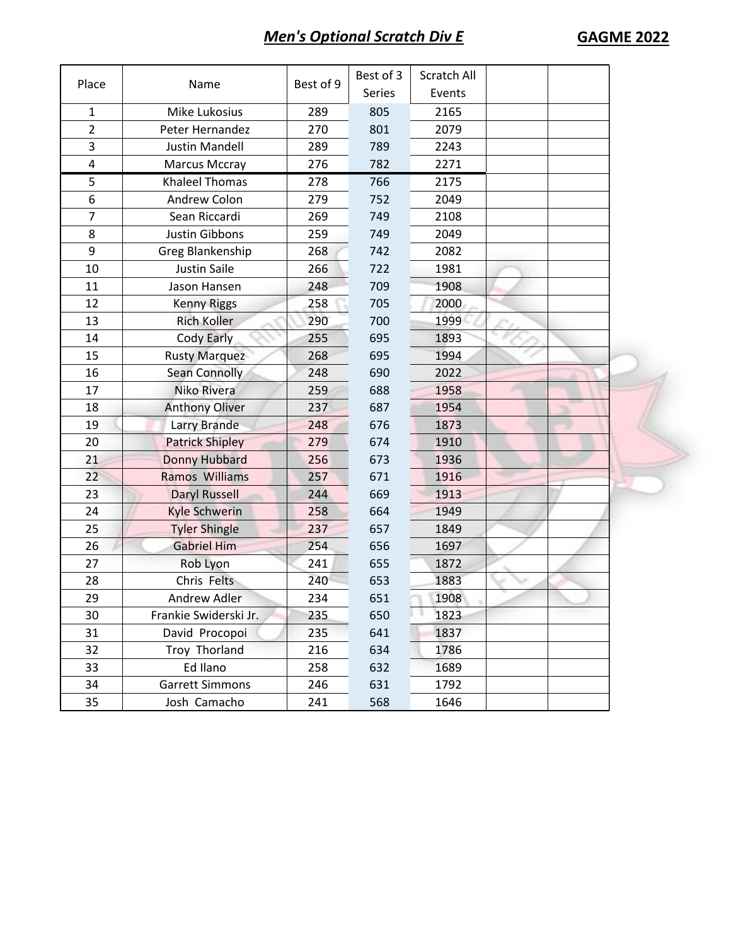## **Men's Optional Scratch Div E GAGME 2022**

| Place          | Name                   | Best of 9 | Best of 3 | Scratch All |  |  |
|----------------|------------------------|-----------|-----------|-------------|--|--|
|                |                        |           | Series    | Events      |  |  |
| 1              | Mike Lukosius          | 289       | 805       | 2165        |  |  |
| $\overline{2}$ | Peter Hernandez        | 270       | 801       | 2079        |  |  |
| 3              | <b>Justin Mandell</b>  | 289       | 789       | 2243        |  |  |
| 4              | <b>Marcus Mccray</b>   | 276       | 782       | 2271        |  |  |
| 5              | <b>Khaleel Thomas</b>  | 278       | 766       | 2175        |  |  |
| 6              | Andrew Colon           | 279       | 752       | 2049        |  |  |
| $\overline{7}$ | Sean Riccardi          | 269       | 749       | 2108        |  |  |
| 8              | <b>Justin Gibbons</b>  | 259       | 749       | 2049        |  |  |
| 9              | Greg Blankenship       | 268       | 742       | 2082        |  |  |
| 10             | Justin Saile           | 266       | 722       | 1981        |  |  |
| 11             | Jason Hansen           | 248       | 709       | 1908        |  |  |
| 12             | <b>Kenny Riggs</b>     | 258       | 705       | 2000        |  |  |
| 13             | <b>Rich Koller</b>     | 290       | 700       | 1999        |  |  |
| 14             | Cody Early             | 255       | 695       | 1893        |  |  |
| 15             | <b>Rusty Marquez</b>   | 268       | 695       | 1994        |  |  |
| 16             | <b>Sean Connolly</b>   | 248       | 690       | 2022        |  |  |
| 17             | Niko Rivera            | 259       | 688       | 1958        |  |  |
| 18             | <b>Anthony Oliver</b>  | 237       | 687       | 1954        |  |  |
| 19             | Larry Brande           | 248       | 676       | 1873        |  |  |
| 20             | <b>Patrick Shipley</b> | 279       | 674       | 1910        |  |  |
| 21             | Donny Hubbard          | 256       | 673       | 1936        |  |  |
| 22             | <b>Ramos Williams</b>  | 257       | 671       | 1916        |  |  |
| 23             | <b>Daryl Russell</b>   | 244       | 669       | 1913        |  |  |
| 24             | <b>Kyle Schwerin</b>   | 258       | 664       | 1949        |  |  |
| 25             | <b>Tyler Shingle</b>   | 237       | 657       | 1849        |  |  |
| 26             | <b>Gabriel Him</b>     | 254       | 656       | 1697        |  |  |
| 27             | Rob Lyon               | 241       | 655       | 1872        |  |  |
| 28             | Chris Felts            | 240       | 653       | 1883        |  |  |
| 29             | Andrew Adler           | 234       | 651       | 1908        |  |  |
| 30             | Frankie Swiderski Jr.  | 235       | 650       | 1823        |  |  |
| 31             | David Procopoi         | 235       | 641       | 1837        |  |  |
| 32             | Troy Thorland          | 216       | 634       | 1786        |  |  |
| 33             | Ed Ilano               | 258       | 632       | 1689        |  |  |
| 34             | <b>Garrett Simmons</b> | 246       | 631       | 1792        |  |  |
| 35             | Josh Camacho           | 241       | 568       | 1646        |  |  |